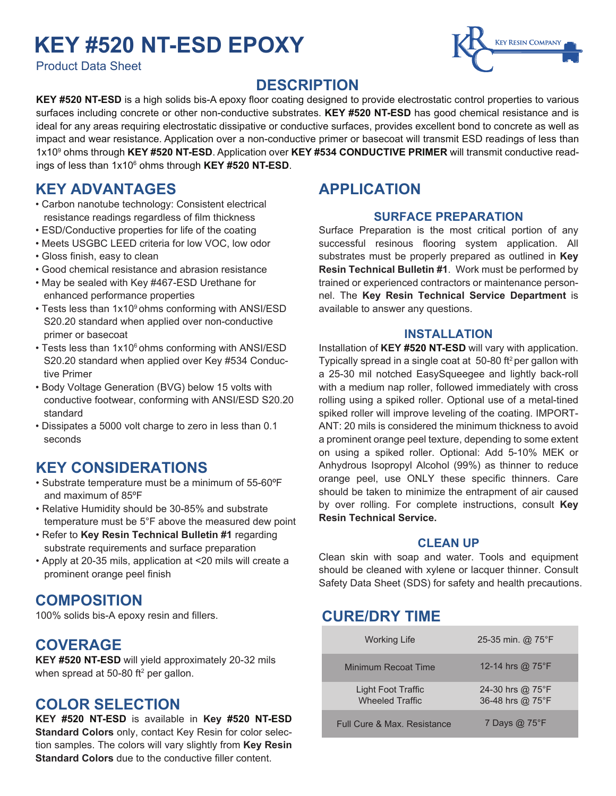## **KEY #520 NT-ESD EPOXY**

Product Data Sheet



### **DESCRIPTION**

KEY #520 NT-ESD is a high solids bis-A epoxy floor coating designed to provide electrostatic control properties to various surfaces including concrete or other non-conductive substrates. **KEY #520 NT-ESD** has good chemical resistance and is ideal for any areas requiring electrostatic dissipative or conductive surfaces, provides excellent bond to concrete as well as impact and wear resistance. Application over a non-conductive primer or basecoat will transmit ESD readings of less than 1x109 ohms through **KEY #520 NT-ESD**. Application over **KEY #534 CONDUCTIVE PRIMER** will transmit conductive readings of less than 1x10<sup>6</sup> ohms through **KEY #520 NT-ESD**.

## **KEY ADVANTAGES**

- Carbon nanotube technology: Consistent electrical resistance readings regardless of film thickness
- ESD/Conductive properties for life of the coating
- Meets USGBC LEED criteria for low VOC, low odor
- Gloss finish, easy to clean
- Good chemical resistance and abrasion resistance
- May be sealed with Key #467-ESD Urethane for enhanced performance properties
- Tests less than 1x109 ohms conforming with ANSI/ESD S20.20 standard when applied over non-conductive primer or basecoat
- Tests less than 1x10<sup>6</sup> ohms conforming with ANSI/ESD S20.20 standard when applied over Key #534 Conduc tive Primer
- Body Voltage Generation (BVG) below 15 volts with conductive footwear, conforming with ANSI/ESD S20.20 standard
- Dissipates a 5000 volt charge to zero in less than 0.1 seconds

## **KEY CONSIDERATIONS**

- Substrate temperature must be a minimum of 55-60ºF and maximum of 85ºF
- Relative Humidity should be 30-85% and substrate temperature must be 5°F above the measured dew point
- Refer to **Key Resin Technical Bulletin #1** regarding substrate requirements and surface preparation
- Apply at 20-35 mils, application at <20 mils will create a prominent orange peel finish

## **COMPOSITION**

100% solids bis-A epoxy resin and fillers.

## **COVERAGE**

**KEY #520 NT-ESD** will yield approximately 20-32 mils when spread at 50-80 ft $^2$  per gallon.

## **COLOR SELECTION**

**KEY #520 NT-ESD** is available in **Key #520 NT-ESD Standard Colors** only, contact Key Resin for color selection samples. The colors will vary slightly from **Key Resin Standard Colors** due to the conductive filler content.

## **APPLICATION**

#### **SURFACE PREPARATION**

Surface Preparation is the most critical portion of any successful resinous flooring system application. All substrates must be properly prepared as outlined in **Key Resin Technical Bulletin #1**. Work must be performed by trained or experienced contractors or maintenance personnel. The **Key Resin Technical Service Department** is available to answer any questions.

#### **INSTALLATION**

Installation of **KEY #520 NT-ESD** will vary with application. Typically spread in a single coat at  $50-80$  ft<sup>2</sup> per gallon with a 25-30 mil notched EasySqueegee and lightly back-roll with a medium nap roller, followed immediately with cross rolling using a spiked roller. Optional use of a metal-tined spiked roller will improve leveling of the coating. IMPORT-ANT: 20 mils is considered the minimum thickness to avoid a prominent orange peel texture, depending to some extent on using a spiked roller. Optional: Add 5-10% MEK or Anhydrous Isopropyl Alcohol (99%) as thinner to reduce orange peel, use ONLY these specific thinners. Care should be taken to minimize the entrapment of air caused by over rolling. For complete instructions, consult **Key Resin Technical Service.**

#### **CLEAN UP**

Clean skin with soap and water. Tools and equipment should be cleaned with xylene or lacquer thinner. Consult Safety Data Sheet (SDS) for safety and health precautions.

## **CURE/DRY TIME**

| <b>Working Life</b>                          | 25-35 min. @ $75^{\circ}$ F          |
|----------------------------------------------|--------------------------------------|
| Minimum Recoat Time                          | 12-14 hrs @ 75°F                     |
| Light Foot Traffic<br><b>Wheeled Traffic</b> | 24-30 hrs @ 75°F<br>36-48 hrs @ 75°F |
| <b>Full Cure &amp; Max. Resistance</b>       | 7 Days @ 75°F                        |